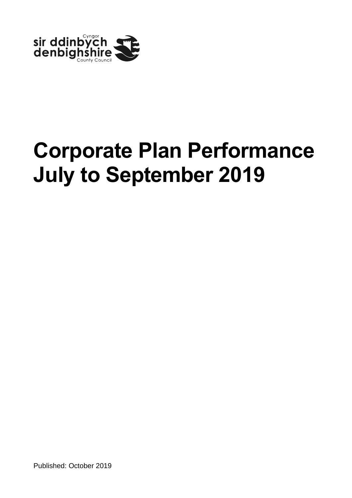

Published: October 2019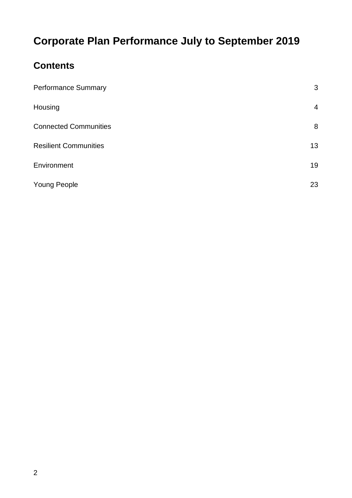### **Contents**

| <b>Performance Summary</b>   | 3              |
|------------------------------|----------------|
| Housing                      | $\overline{4}$ |
| <b>Connected Communities</b> | 8              |
| <b>Resilient Communities</b> | 13             |
| Environment                  | 19             |
| <b>Young People</b>          | 23             |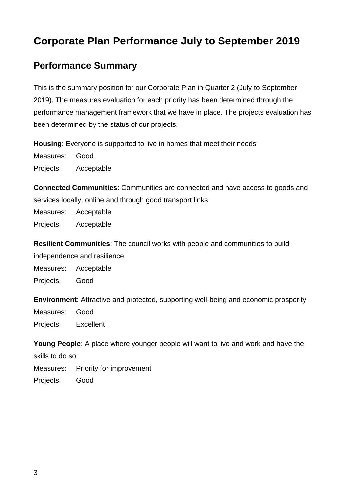### <span id="page-2-0"></span>**Performance Summary**

This is the summary position for our Corporate Plan in Quarter 2 (July to September 2019). The measures evaluation for each priority has been determined through the performance management framework that we have in place. The projects evaluation has been determined by the status of our projects.

**Housing**: Everyone is supported to live in homes that meet their needs

Measures: Good Projects: Acceptable

**Connected Communities**: Communities are connected and have access to goods and services locally, online and through good transport links

Measures: Acceptable Projects: Acceptable

**Resilient Communities**: The council works with people and communities to build independence and resilience

Measures: Acceptable

Projects: Good

**Environment**: Attractive and protected, supporting well-being and economic prosperity

Measures: Good Projects: Excellent

**Young People**: A place where younger people will want to live and work and have the skills to do so Measures: Priority for improvement Projects: Good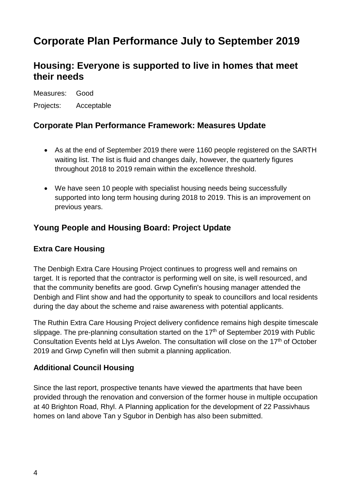### <span id="page-3-0"></span>**Housing: Everyone is supported to live in homes that meet their needs**

Measures: Good Projects: Acceptable

#### **Corporate Plan Performance Framework: Measures Update**

- As at the end of September 2019 there were 1160 people registered on the SARTH waiting list. The list is fluid and changes daily, however, the quarterly figures throughout 2018 to 2019 remain within the excellence threshold.
- We have seen 10 people with specialist housing needs being successfully supported into long term housing during 2018 to 2019. This is an improvement on previous years.

#### **Young People and Housing Board: Project Update**

#### **Extra Care Housing**

The Denbigh Extra Care Housing Project continues to progress well and remains on target. It is reported that the contractor is performing well on site, is well resourced, and that the community benefits are good. Grwp Cynefin's housing manager attended the Denbigh and Flint show and had the opportunity to speak to councillors and local residents during the day about the scheme and raise awareness with potential applicants.

The Ruthin Extra Care Housing Project delivery confidence remains high despite timescale slippage. The pre-planning consultation started on the 17<sup>th</sup> of September 2019 with Public Consultation Events held at Llys Awelon. The consultation will close on the  $17<sup>th</sup>$  of October 2019 and Grwp Cynefin will then submit a planning application.

#### **Additional Council Housing**

Since the last report, prospective tenants have viewed the apartments that have been provided through the renovation and conversion of the former house in multiple occupation at 40 Brighton Road, Rhyl. A Planning application for the development of 22 Passivhaus homes on land above Tan y Sgubor in Denbigh has also been submitted.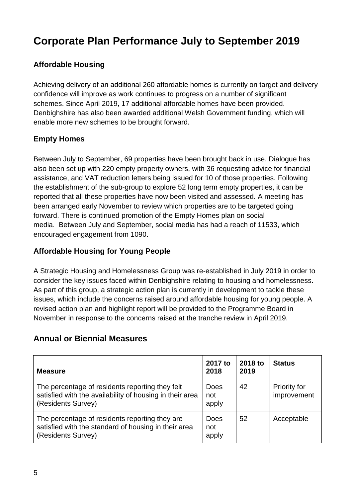#### **Affordable Housing**

Achieving delivery of an additional 260 affordable homes is currently on target and delivery confidence will improve as work continues to progress on a number of significant schemes. Since April 2019, 17 additional affordable homes have been provided. Denbighshire has also been awarded additional Welsh Government funding, which will enable more new schemes to be brought forward.

#### **Empty Homes**

Between July to September, 69 properties have been brought back in use. Dialogue has also been set up with 220 empty property owners, with 36 requesting advice for financial assistance, and VAT reduction letters being issued for 10 of those properties. Following the establishment of the sub-group to explore 52 long term empty properties, it can be reported that all these properties have now been visited and assessed. A meeting has been arranged early November to review which properties are to be targeted going forward. There is continued promotion of the Empty Homes plan on social media. Between July and September, social media has had a reach of 11533, which encouraged engagement from 1090.

#### **Affordable Housing for Young People**

A Strategic Housing and Homelessness Group was re-established in July 2019 in order to consider the key issues faced within Denbighshire relating to housing and homelessness. As part of this group, a strategic action plan is currently in development to tackle these issues, which include the concerns raised around affordable housing for young people. A revised action plan and highlight report will be provided to the Programme Board in November in response to the concerns raised at the tranche review in April 2019.

#### **Annual or Biennial Measures**

| <b>Measure</b>                                                                                                                    | 2017 to<br>2018      | 2018 to<br>2019 | <b>Status</b>               |
|-----------------------------------------------------------------------------------------------------------------------------------|----------------------|-----------------|-----------------------------|
| The percentage of residents reporting they felt<br>satisfied with the availability of housing in their area<br>(Residents Survey) | Does<br>not<br>apply | 42              | Priority for<br>improvement |
| The percentage of residents reporting they are<br>satisfied with the standard of housing in their area<br>(Residents Survey)      | Does<br>not<br>apply | 52              | Acceptable                  |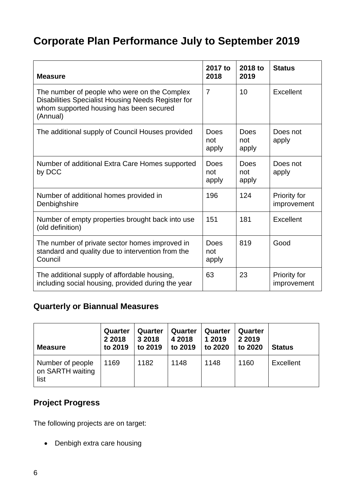| <b>Measure</b>                                                                                                                                            | 2017 to<br>2018      | 2018 to<br>2019      | <b>Status</b>                      |
|-----------------------------------------------------------------------------------------------------------------------------------------------------------|----------------------|----------------------|------------------------------------|
| The number of people who were on the Complex<br>Disabilities Specialist Housing Needs Register for<br>whom supported housing has been secured<br>(Annual) | $\overline{7}$       | 10                   | Excellent                          |
| The additional supply of Council Houses provided                                                                                                          | Does<br>not<br>apply | Does<br>not<br>apply | Does not<br>apply                  |
| Number of additional Extra Care Homes supported<br>by DCC                                                                                                 | Does<br>not<br>apply | Does<br>not<br>apply | Does not<br>apply                  |
| Number of additional homes provided in<br>Denbighshire                                                                                                    | 196                  | 124                  | Priority for<br>improvement        |
| Number of empty properties brought back into use<br>(old definition)                                                                                      | 151                  | 181                  | Excellent                          |
| The number of private sector homes improved in<br>standard and quality due to intervention from the<br>Council                                            | Does<br>not<br>apply | 819                  | Good                               |
| The additional supply of affordable housing,<br>including social housing, provided during the year                                                        | 63                   | 23                   | <b>Priority for</b><br>improvement |

#### **Quarterly or Biannual Measures**

| <b>Measure</b>                               | Quarter<br>2 2 0 1 8<br>to 2019 | Quarter<br>3 2018<br>to 2019 | Quarter<br>4 2018<br>to 2019 | Quarter<br>1 2019<br>to 2020 | Quarter<br>2 2 0 1 9<br>to 2020 | <b>Status</b> |
|----------------------------------------------|---------------------------------|------------------------------|------------------------------|------------------------------|---------------------------------|---------------|
| Number of people<br>on SARTH waiting<br>list | 1169                            | 1182                         | 1148                         | 1148                         | 1160                            | Excellent     |

### **Project Progress**

The following projects are on target:

• Denbigh extra care housing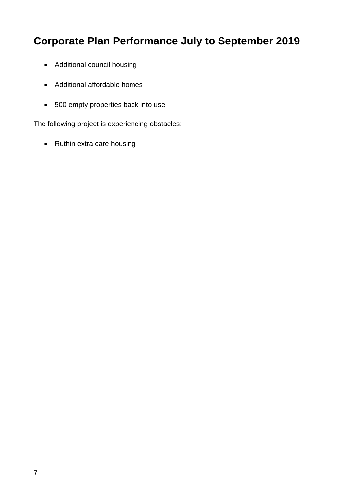- Additional council housing
- Additional affordable homes
- 500 empty properties back into use

The following project is experiencing obstacles:

• Ruthin extra care housing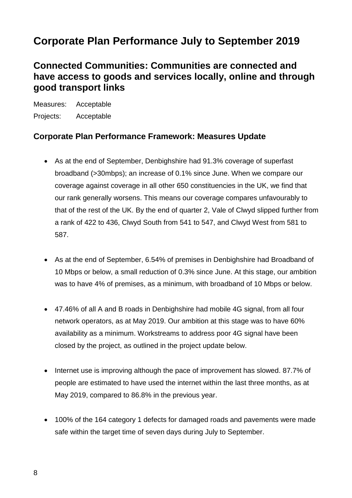### <span id="page-7-0"></span>**Connected Communities: Communities are connected and have access to goods and services locally, online and through good transport links**

Measures: Acceptable Projects: Acceptable

#### **Corporate Plan Performance Framework: Measures Update**

- As at the end of September, Denbighshire had 91.3% coverage of superfast broadband (>30mbps); an increase of 0.1% since June. When we compare our coverage against coverage in all other 650 constituencies in the UK, we find that our rank generally worsens. This means our coverage compares unfavourably to that of the rest of the UK. By the end of quarter 2, Vale of Clwyd slipped further from a rank of 422 to 436, Clwyd South from 541 to 547, and Clwyd West from 581 to 587.
- As at the end of September, 6.54% of premises in Denbighshire had Broadband of 10 Mbps or below, a small reduction of 0.3% since June. At this stage, our ambition was to have 4% of premises, as a minimum, with broadband of 10 Mbps or below.
- 47.46% of all A and B roads in Denbighshire had mobile 4G signal, from all four network operators, as at May 2019. Our ambition at this stage was to have 60% availability as a minimum. Workstreams to address poor 4G signal have been closed by the project, as outlined in the project update below.
- Internet use is improving although the pace of improvement has slowed. 87.7% of people are estimated to have used the internet within the last three months, as at May 2019, compared to 86.8% in the previous year.
- 100% of the 164 category 1 defects for damaged roads and pavements were made safe within the target time of seven days during July to September.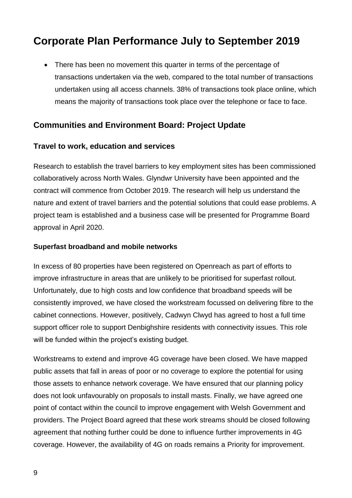• There has been no movement this quarter in terms of the percentage of transactions undertaken via the web, compared to the total number of transactions undertaken using all access channels. 38% of transactions took place online, which means the majority of transactions took place over the telephone or face to face.

#### **Communities and Environment Board: Project Update**

#### **Travel to work, education and services**

Research to establish the travel barriers to key employment sites has been commissioned collaboratively across North Wales. Glyndwr University have been appointed and the contract will commence from October 2019. The research will help us understand the nature and extent of travel barriers and the potential solutions that could ease problems. A project team is established and a business case will be presented for Programme Board approval in April 2020.

#### **Superfast broadband and mobile networks**

In excess of 80 properties have been registered on Openreach as part of efforts to improve infrastructure in areas that are unlikely to be prioritised for superfast rollout. Unfortunately, due to high costs and low confidence that broadband speeds will be consistently improved, we have closed the workstream focussed on delivering fibre to the cabinet connections. However, positively, Cadwyn Clwyd has agreed to host a full time support officer role to support Denbighshire residents with connectivity issues. This role will be funded within the project's existing budget.

Workstreams to extend and improve 4G coverage have been closed. We have mapped public assets that fall in areas of poor or no coverage to explore the potential for using those assets to enhance network coverage. We have ensured that our planning policy does not look unfavourably on proposals to install masts. Finally, we have agreed one point of contact within the council to improve engagement with Welsh Government and providers. The Project Board agreed that these work streams should be closed following agreement that nothing further could be done to influence further improvements in 4G coverage. However, the availability of 4G on roads remains a Priority for improvement.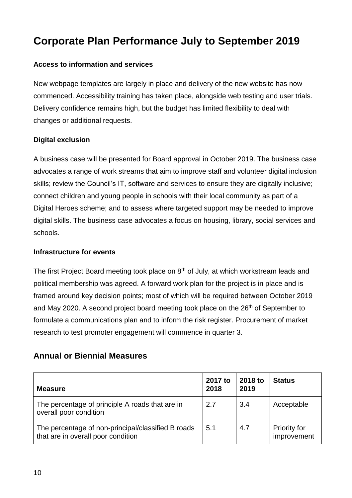#### **Access to information and services**

New webpage templates are largely in place and delivery of the new website has now commenced. Accessibility training has taken place, alongside web testing and user trials. Delivery confidence remains high, but the budget has limited flexibility to deal with changes or additional requests.

#### **Digital exclusion**

A business case will be presented for Board approval in October 2019. The business case advocates a range of work streams that aim to improve staff and volunteer digital inclusion skills; review the Council's IT, software and services to ensure they are digitally inclusive; connect children and young people in schools with their local community as part of a Digital Heroes scheme; and to assess where targeted support may be needed to improve digital skills. The business case advocates a focus on housing, library, social services and schools.

#### **Infrastructure for events**

The first Project Board meeting took place on 8<sup>th</sup> of July, at which workstream leads and political membership was agreed. A forward work plan for the project is in place and is framed around key decision points; most of which will be required between October 2019 and May 2020. A second project board meeting took place on the 26<sup>th</sup> of September to formulate a communications plan and to inform the risk register. Procurement of market research to test promoter engagement will commence in quarter 3.

#### **Annual or Biennial Measures**

| <b>Measure</b>                                                                           | 2017 to<br>2018 | 2018 to<br>2019 | <b>Status</b>                      |
|------------------------------------------------------------------------------------------|-----------------|-----------------|------------------------------------|
| The percentage of principle A roads that are in<br>overall poor condition                | 2.7             | 3.4             | Acceptable                         |
| The percentage of non-principal/classified B roads<br>that are in overall poor condition | 5.1             | 4.7             | <b>Priority for</b><br>improvement |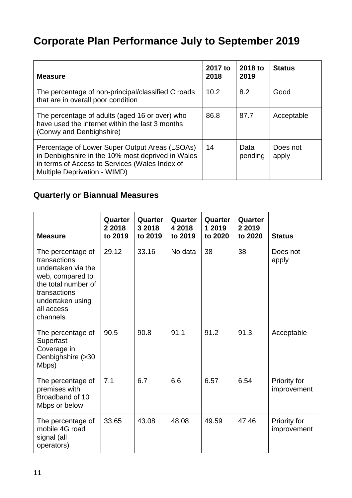| <b>Measure</b>                                                                                                                                                                        | 2017 to<br>2018 | 2018 to<br>2019 | <b>Status</b>     |
|---------------------------------------------------------------------------------------------------------------------------------------------------------------------------------------|-----------------|-----------------|-------------------|
| The percentage of non-principal/classified C roads<br>that are in overall poor condition                                                                                              | 10.2            | 8.2             | Good              |
| The percentage of adults (aged 16 or over) who<br>have used the internet within the last 3 months<br>(Conwy and Denbighshire)                                                         | 86.8            | 87.7            | Acceptable        |
| Percentage of Lower Super Output Areas (LSOAs)<br>in Denbighshire in the 10% most deprived in Wales<br>in terms of Access to Services (Wales Index of<br>Multiple Deprivation - WIMD) | 14              | Data<br>pending | Does not<br>apply |

### **Quarterly or Biannual Measures**

| <b>Measure</b>                                                                                                                                                   | Quarter<br>2 2 0 1 8<br>to 2019 | Quarter<br>3 2018<br>to 2019 | Quarter<br>4 2018<br>to 2019 | Quarter<br>1 2019<br>to 2020 | Quarter<br>2 2 0 1 9<br>to 2020 | <b>Status</b>               |
|------------------------------------------------------------------------------------------------------------------------------------------------------------------|---------------------------------|------------------------------|------------------------------|------------------------------|---------------------------------|-----------------------------|
| The percentage of<br>transactions<br>undertaken via the<br>web, compared to<br>the total number of<br>transactions<br>undertaken using<br>all access<br>channels | 29.12                           | 33.16                        | No data                      | 38                           | 38                              | Does not<br>apply           |
| The percentage of<br>Superfast<br>Coverage in<br>Denbighshire (>30<br>Mbps)                                                                                      | 90.5                            | 90.8                         | 91.1                         | 91.2                         | 91.3                            | Acceptable                  |
| The percentage of<br>premises with<br>Broadband of 10<br>Mbps or below                                                                                           | 7.1                             | 6.7                          | 6.6                          | 6.57                         | 6.54                            | Priority for<br>improvement |
| The percentage of<br>mobile 4G road<br>signal (all<br>operators)                                                                                                 | 33.65                           | 43.08                        | 48.08                        | 49.59                        | 47.46                           | Priority for<br>improvement |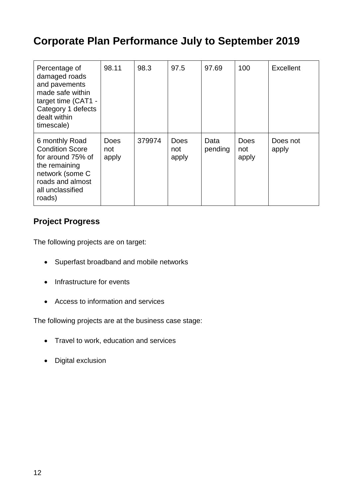| Percentage of<br>damaged roads<br>and pavements<br>made safe within<br>target time (CAT1 -<br>Category 1 defects<br>dealt within<br>timescale)      | 98.11                | 98.3   | 97.5                        | 97.69           | 100                         | Excellent         |
|-----------------------------------------------------------------------------------------------------------------------------------------------------|----------------------|--------|-----------------------------|-----------------|-----------------------------|-------------------|
| 6 monthly Road<br><b>Condition Score</b><br>for around 75% of<br>the remaining<br>network (some C<br>roads and almost<br>all unclassified<br>roads) | Does<br>not<br>apply | 379974 | <b>Does</b><br>not<br>apply | Data<br>pending | <b>Does</b><br>not<br>apply | Does not<br>apply |

### **Project Progress**

The following projects are on target:

- Superfast broadband and mobile networks
- Infrastructure for events
- Access to information and services

The following projects are at the business case stage:

- Travel to work, education and services
- Digital exclusion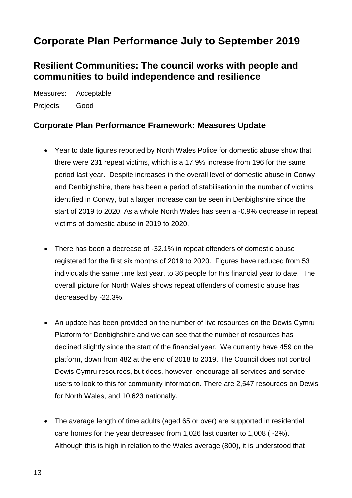### <span id="page-12-0"></span>**Resilient Communities: The council works with people and communities to build independence and resilience**

Measures: Acceptable Projects: Good

#### **Corporate Plan Performance Framework: Measures Update**

- Year to date figures reported by North Wales Police for domestic abuse show that there were 231 repeat victims, which is a 17.9% increase from 196 for the same period last year. Despite increases in the overall level of domestic abuse in Conwy and Denbighshire, there has been a period of stabilisation in the number of victims identified in Conwy, but a larger increase can be seen in Denbighshire since the start of 2019 to 2020. As a whole North Wales has seen a -0.9% decrease in repeat victims of domestic abuse in 2019 to 2020.
- There has been a decrease of -32.1% in repeat offenders of domestic abuse registered for the first six months of 2019 to 2020. Figures have reduced from 53 individuals the same time last year, to 36 people for this financial year to date. The overall picture for North Wales shows repeat offenders of domestic abuse has decreased by -22.3%.
- An update has been provided on the number of live resources on the Dewis Cymru Platform for Denbighshire and we can see that the number of resources has declined slightly since the start of the financial year. We currently have 459 on the platform, down from 482 at the end of 2018 to 2019. The Council does not control Dewis Cymru resources, but does, however, encourage all services and service users to look to this for community information. There are 2,547 resources on Dewis for North Wales, and 10,623 nationally.
- The average length of time adults (aged 65 or over) are supported in residential care homes for the year decreased from 1,026 last quarter to 1,008 ( -2%). Although this is high in relation to the Wales average (800), it is understood that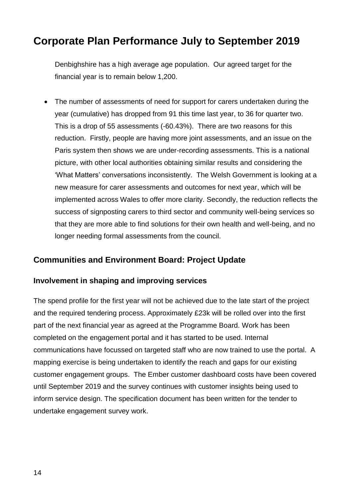Denbighshire has a high average age population. Our agreed target for the financial year is to remain below 1,200.

• The number of assessments of need for support for carers undertaken during the year (cumulative) has dropped from 91 this time last year, to 36 for quarter two. This is a drop of 55 assessments (-60.43%). There are two reasons for this reduction. Firstly, people are having more joint assessments, and an issue on the Paris system then shows we are under-recording assessments. This is a national picture, with other local authorities obtaining similar results and considering the 'What Matters' conversations inconsistently. The Welsh Government is looking at a new measure for carer assessments and outcomes for next year, which will be implemented across Wales to offer more clarity. Secondly, the reduction reflects the success of signposting carers to third sector and community well-being services so that they are more able to find solutions for their own health and well-being, and no longer needing formal assessments from the council.

#### **Communities and Environment Board: Project Update**

#### **Involvement in shaping and improving services**

The spend profile for the first year will not be achieved due to the late start of the project and the required tendering process. Approximately £23k will be rolled over into the first part of the next financial year as agreed at the Programme Board. Work has been completed on the engagement portal and it has started to be used. Internal communications have focussed on targeted staff who are now trained to use the portal. A mapping exercise is being undertaken to identify the reach and gaps for our existing customer engagement groups. The Ember customer dashboard costs have been covered until September 2019 and the survey continues with customer insights being used to inform service design. The specification document has been written for the tender to undertake engagement survey work.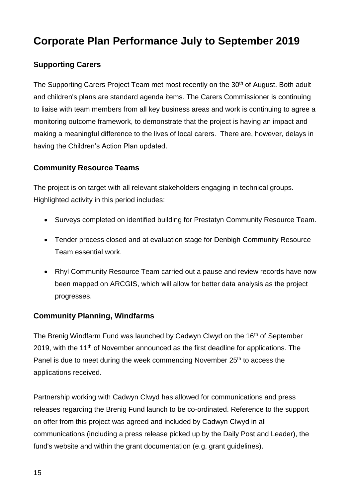#### **Supporting Carers**

The Supporting Carers Project Team met most recently on the 30<sup>th</sup> of August. Both adult and children's plans are standard agenda items. The Carers Commissioner is continuing to liaise with team members from all key business areas and work is continuing to agree a monitoring outcome framework, to demonstrate that the project is having an impact and making a meaningful difference to the lives of local carers. There are, however, delays in having the Children's Action Plan updated.

#### **Community Resource Teams**

The project is on target with all relevant stakeholders engaging in technical groups. Highlighted activity in this period includes:

- Surveys completed on identified building for Prestatyn Community Resource Team.
- Tender process closed and at evaluation stage for Denbigh Community Resource Team essential work.
- Rhyl Community Resource Team carried out a pause and review records have now been mapped on ARCGIS, which will allow for better data analysis as the project progresses.

#### **Community Planning, Windfarms**

The Brenig Windfarm Fund was launched by Cadwyn Clwyd on the 16<sup>th</sup> of September 2019, with the 11<sup>th</sup> of November announced as the first deadline for applications. The Panel is due to meet during the week commencing November 25<sup>th</sup> to access the applications received.

Partnership working with Cadwyn Clwyd has allowed for communications and press releases regarding the Brenig Fund launch to be co-ordinated. Reference to the support on offer from this project was agreed and included by Cadwyn Clwyd in all communications (including a press release picked up by the Daily Post and Leader), the fund's website and within the grant documentation (e.g. grant guidelines).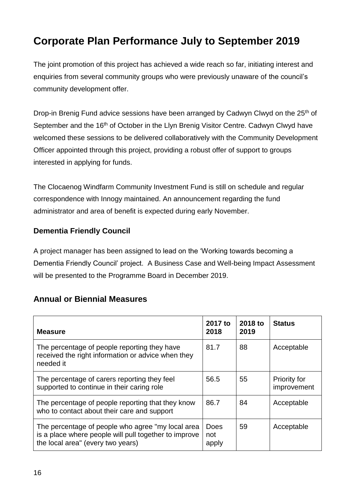The joint promotion of this project has achieved a wide reach so far, initiating interest and enquiries from several community groups who were previously unaware of the council's community development offer.

Drop-in Brenig Fund advice sessions have been arranged by Cadwyn Clwyd on the 25<sup>th</sup> of September and the 16<sup>th</sup> of October in the Llyn Brenig Visitor Centre. Cadwyn Clwyd have welcomed these sessions to be delivered collaboratively with the Community Development Officer appointed through this project, providing a robust offer of support to groups interested in applying for funds.

The Clocaenog Windfarm Community Investment Fund is still on schedule and regular correspondence with Innogy maintained. An announcement regarding the fund administrator and area of benefit is expected during early November.

#### **Dementia Friendly Council**

A project manager has been assigned to lead on the 'Working towards becoming a Dementia Friendly Council' project. A Business Case and Well-being Impact Assessment will be presented to the Programme Board in December 2019.

#### **Annual or Biennial Measures**

| <b>Measure</b>                                                                                                                                  | 2017 to<br>2018             | 2018 to<br>2019 | <b>Status</b>               |
|-------------------------------------------------------------------------------------------------------------------------------------------------|-----------------------------|-----------------|-----------------------------|
| The percentage of people reporting they have<br>received the right information or advice when they<br>needed it                                 | 81.7                        | 88              | Acceptable                  |
| The percentage of carers reporting they feel<br>supported to continue in their caring role                                                      | 56.5                        | 55              | Priority for<br>improvement |
| The percentage of people reporting that they know<br>who to contact about their care and support                                                | 86.7                        | 84              | Acceptable                  |
| The percentage of people who agree "my local area<br>is a place where people will pull together to improve<br>the local area" (every two years) | <b>Does</b><br>not<br>apply | 59              | Acceptable                  |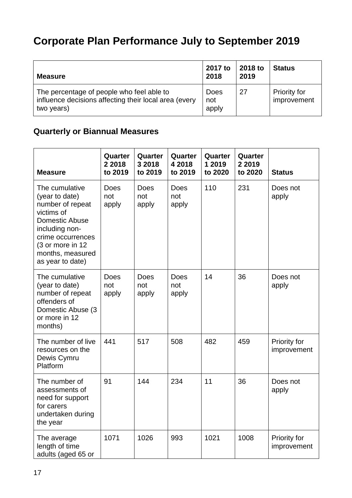| <b>Measure</b>                                                                                                   | 2017 to<br>2018      | 2018 to<br>2019 | <b>Status</b>                      |
|------------------------------------------------------------------------------------------------------------------|----------------------|-----------------|------------------------------------|
| The percentage of people who feel able to<br>influence decisions affecting their local area (every<br>two years) | Does<br>not<br>apply | 27              | <b>Priority for</b><br>improvement |

### **Quarterly or Biannual Measures**

| <b>Measure</b>                                                                                                                                                                          | Quarter<br>2 2 0 1 8<br>to 2019 | Quarter<br>3 2018<br>to 2019 | Quarter<br>4 2018<br>to 2019 | Quarter<br>1 2019<br>to 2020 | Quarter<br>2 2 0 1 9<br>to 2020 | <b>Status</b>               |
|-----------------------------------------------------------------------------------------------------------------------------------------------------------------------------------------|---------------------------------|------------------------------|------------------------------|------------------------------|---------------------------------|-----------------------------|
| The cumulative<br>(year to date)<br>number of repeat<br>victims of<br>Domestic Abuse<br>including non-<br>crime occurrences<br>(3 or more in 12<br>months, measured<br>as year to date) | Does<br>not<br>apply            | Does<br>not<br>apply         | Does<br>not<br>apply         | 110                          | 231                             | Does not<br>apply           |
| The cumulative<br>(year to date)<br>number of repeat<br>offenders of<br>Domestic Abuse (3<br>or more in 12<br>months)                                                                   | <b>Does</b><br>not<br>apply     | Does<br>not<br>apply         | <b>Does</b><br>not<br>apply  | 14                           | 36                              | Does not<br>apply           |
| The number of live<br>resources on the<br>Dewis Cymru<br>Platform                                                                                                                       | 441                             | 517                          | 508                          | 482                          | 459                             | Priority for<br>improvement |
| The number of<br>assessments of<br>need for support<br>for carers<br>undertaken during<br>the year                                                                                      | 91                              | 144                          | 234                          | 11                           | 36                              | Does not<br>apply           |
| The average<br>length of time<br>adults (aged 65 or                                                                                                                                     | 1071                            | 1026                         | 993                          | 1021                         | 1008                            | Priority for<br>improvement |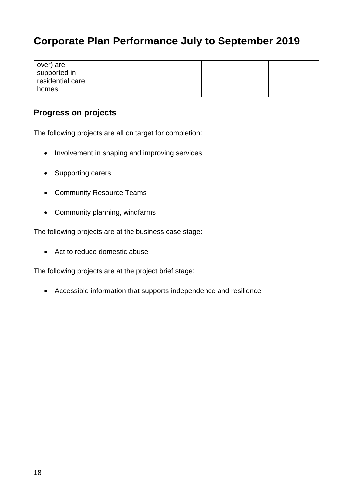| over) are<br>supported in |  |  |  |
|---------------------------|--|--|--|
| residential care          |  |  |  |
| homes                     |  |  |  |

#### **Progress on projects**

The following projects are all on target for completion:

- Involvement in shaping and improving services
- Supporting carers
- Community Resource Teams
- Community planning, windfarms

The following projects are at the business case stage:

• Act to reduce domestic abuse

The following projects are at the project brief stage:

Accessible information that supports independence and resilience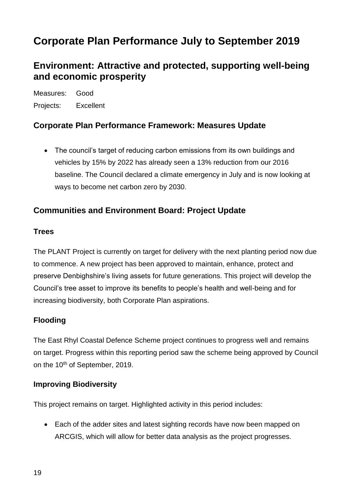### <span id="page-18-0"></span>**Environment: Attractive and protected, supporting well-being and economic prosperity**

Measures: Good Projects: Excellent

#### **Corporate Plan Performance Framework: Measures Update**

• The council's target of reducing carbon emissions from its own buildings and vehicles by 15% by 2022 has already seen a 13% reduction from our 2016 baseline. The Council declared a climate emergency in July and is now looking at ways to become net carbon zero by 2030.

#### **Communities and Environment Board: Project Update**

#### **Trees**

The PLANT Project is currently on target for delivery with the next planting period now due to commence. A new project has been approved to maintain, enhance, protect and preserve Denbighshire's living assets for future generations. This project will develop the Council's tree asset to improve its benefits to people's health and well-being and for increasing biodiversity, both Corporate Plan aspirations.

#### **Flooding**

The East Rhyl Coastal Defence Scheme project continues to progress well and remains on target. Progress within this reporting period saw the scheme being approved by Council on the 10<sup>th</sup> of September, 2019.

#### **Improving Biodiversity**

This project remains on target. Highlighted activity in this period includes:

 Each of the adder sites and latest sighting records have now been mapped on ARCGIS, which will allow for better data analysis as the project progresses.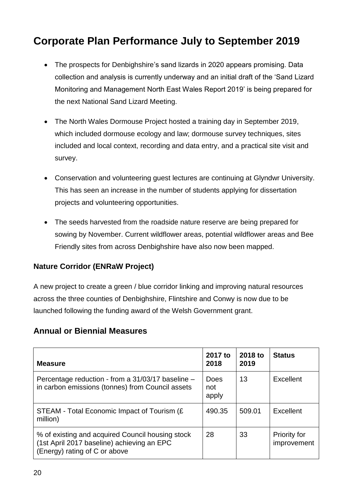- The prospects for Denbighshire's sand lizards in 2020 appears promising. Data collection and analysis is currently underway and an initial draft of the 'Sand Lizard Monitoring and Management North East Wales Report 2019' is being prepared for the next National Sand Lizard Meeting.
- The North Wales Dormouse Project hosted a training day in September 2019, which included dormouse ecology and law; dormouse survey techniques, sites included and local context, recording and data entry, and a practical site visit and survey.
- Conservation and volunteering guest lectures are continuing at Glyndwr University. This has seen an increase in the number of students applying for dissertation projects and volunteering opportunities.
- The seeds harvested from the roadside nature reserve are being prepared for sowing by November. Current wildflower areas, potential wildflower areas and Bee Friendly sites from across Denbighshire have also now been mapped.

#### **Nature Corridor (ENRaW Project)**

A new project to create a green / blue corridor linking and improving natural resources across the three counties of Denbighshire, Flintshire and Conwy is now due to be launched following the funding award of the Welsh Government grant.

#### **Annual or Biennial Measures**

| <b>Measure</b>                                                                                                                  | 2017 to<br>2018             | 2018 to<br>2019 | <b>Status</b>                      |
|---------------------------------------------------------------------------------------------------------------------------------|-----------------------------|-----------------|------------------------------------|
| Percentage reduction - from a 31/03/17 baseline -<br>in carbon emissions (tonnes) from Council assets                           | <b>Does</b><br>not<br>apply | 13              | Excellent                          |
| STEAM - Total Economic Impact of Tourism (£<br>million)                                                                         | 490.35                      | 509.01          | Excellent                          |
| % of existing and acquired Council housing stock<br>(1st April 2017 baseline) achieving an EPC<br>(Energy) rating of C or above | 28                          | 33              | <b>Priority for</b><br>improvement |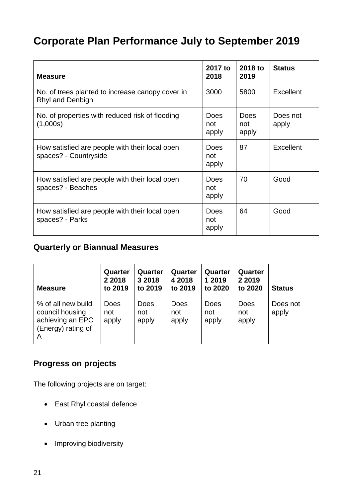| <b>Measure</b>                                                          | 2017 to<br>2018             | 2018 to<br>2019             | <b>Status</b>     |
|-------------------------------------------------------------------------|-----------------------------|-----------------------------|-------------------|
| No. of trees planted to increase canopy cover in<br>Rhyl and Denbigh    | 3000                        | 5800                        | Excellent         |
| No. of properties with reduced risk of flooding<br>(1,000s)             | <b>Does</b><br>not<br>apply | <b>Does</b><br>not<br>apply | Does not<br>apply |
| How satisfied are people with their local open<br>spaces? - Countryside | <b>Does</b><br>not<br>apply | 87                          | Excellent         |
| How satisfied are people with their local open<br>spaces? - Beaches     | Does<br>not<br>apply        | 70                          | Good              |
| How satisfied are people with their local open<br>spaces? - Parks       | Does<br>not<br>apply        | 64                          | Good              |

### **Quarterly or Biannual Measures**

| <b>Measure</b>                                                                       | Quarter<br>2 2 0 1 8<br>to 2019 | Quarter<br>3 2018<br>to 2019 | Quarter<br>4 2018<br>to 2019 | Quarter<br>1 2019<br>to 2020 | Quarter<br>2 2 0 1 9<br>to 2020 | <b>Status</b>     |
|--------------------------------------------------------------------------------------|---------------------------------|------------------------------|------------------------------|------------------------------|---------------------------------|-------------------|
| % of all new build<br>council housing<br>achieving an EPC<br>(Energy) rating of<br>A | <b>Does</b><br>not<br>apply     | Does<br>not<br>apply         | <b>Does</b><br>not<br>apply  | <b>Does</b><br>not<br>apply  | <b>Does</b><br>not<br>apply     | Does not<br>apply |

### **Progress on projects**

The following projects are on target:

- East Rhyl coastal defence
- Urban tree planting
- Improving biodiversity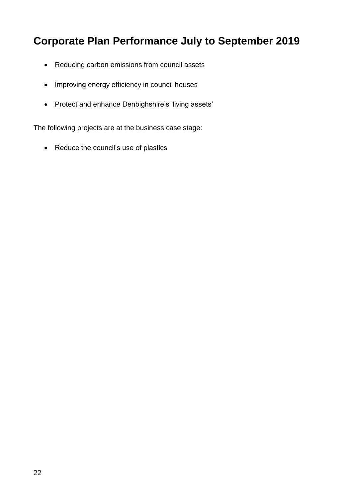- Reducing carbon emissions from council assets
- Improving energy efficiency in council houses
- Protect and enhance Denbighshire's 'living assets'

The following projects are at the business case stage:

• Reduce the council's use of plastics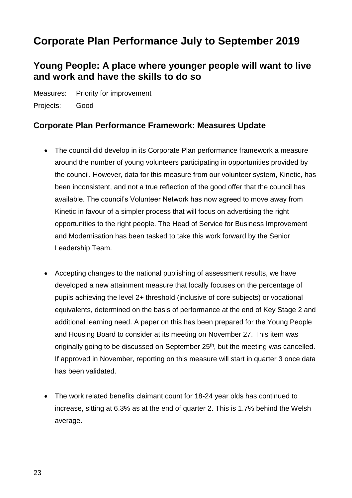### <span id="page-22-0"></span>**Young People: A place where younger people will want to live and work and have the skills to do so**

Measures: Priority for improvement Projects: Good

#### **Corporate Plan Performance Framework: Measures Update**

- The council did develop in its Corporate Plan performance framework a measure around the number of young volunteers participating in opportunities provided by the council. However, data for this measure from our volunteer system, Kinetic, has been inconsistent, and not a true reflection of the good offer that the council has available. The council's Volunteer Network has now agreed to move away from Kinetic in favour of a simpler process that will focus on advertising the right opportunities to the right people. The Head of Service for Business Improvement and Modernisation has been tasked to take this work forward by the Senior Leadership Team.
- Accepting changes to the national publishing of assessment results, we have developed a new attainment measure that locally focuses on the percentage of pupils achieving the level 2+ threshold (inclusive of core subjects) or vocational equivalents, determined on the basis of performance at the end of Key Stage 2 and additional learning need. A paper on this has been prepared for the Young People and Housing Board to consider at its meeting on November 27. This item was originally going to be discussed on September 25<sup>th</sup>, but the meeting was cancelled. If approved in November, reporting on this measure will start in quarter 3 once data has been validated.
- The work related benefits claimant count for 18-24 year olds has continued to increase, sitting at 6.3% as at the end of quarter 2. This is 1.7% behind the Welsh average.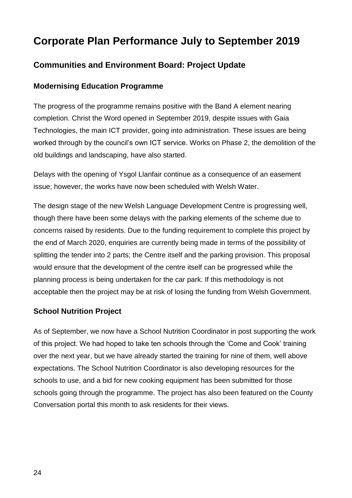### **Communities and Environment Board: Project Update**

#### **Modernising Education Programme**

The progress of the programme remains positive with the Band A element nearing completion. Christ the Word opened in September 2019, despite issues with Gaia Technologies, the main ICT provider, going into administration. These issues are being worked through by the council's own ICT service. Works on Phase 2, the demolition of the old buildings and landscaping, have also started.

Delays with the opening of Ysgol Llanfair continue as a consequence of an easement issue; however, the works have now been scheduled with Welsh Water.

The design stage of the new Welsh Language Development Centre is progressing well, though there have been some delays with the parking elements of the scheme due to concerns raised by residents. Due to the funding requirement to complete this project by the end of March 2020, enquiries are currently being made in terms of the possibility of splitting the tender into 2 parts; the Centre itself and the parking provision. This proposal would ensure that the development of the centre itself can be progressed while the planning process is being undertaken for the car park. If this methodology is not acceptable then the project may be at risk of losing the funding from Welsh Government.

#### **School Nutrition Project**

As of September, we now have a School Nutrition Coordinator in post supporting the work of this project. We had hoped to take ten schools through the 'Come and Cook' training over the next year, but we have already started the training for nine of them, well above expectations. The School Nutrition Coordinator is also developing resources for the schools to use, and a bid for new cooking equipment has been submitted for those schools going through the programme. The project has also been featured on the County Conversation portal this month to ask residents for their views.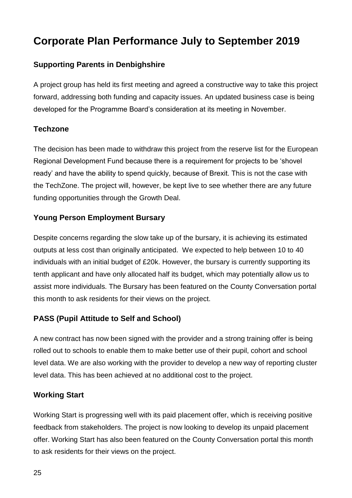#### **Supporting Parents in Denbighshire**

A project group has held its first meeting and agreed a constructive way to take this project forward, addressing both funding and capacity issues. An updated business case is being developed for the Programme Board's consideration at its meeting in November.

#### **Techzone**

The decision has been made to withdraw this project from the reserve list for the European Regional Development Fund because there is a requirement for projects to be 'shovel ready' and have the ability to spend quickly, because of Brexit. This is not the case with the TechZone. The project will, however, be kept live to see whether there are any future funding opportunities through the Growth Deal.

#### **Young Person Employment Bursary**

Despite concerns regarding the slow take up of the bursary, it is achieving its estimated outputs at less cost than originally anticipated. We expected to help between 10 to 40 individuals with an initial budget of £20k. However, the bursary is currently supporting its tenth applicant and have only allocated half its budget, which may potentially allow us to assist more individuals. The Bursary has been featured on the County Conversation portal this month to ask residents for their views on the project.

#### **PASS (Pupil Attitude to Self and School)**

A new contract has now been signed with the provider and a strong training offer is being rolled out to schools to enable them to make better use of their pupil, cohort and school level data. We are also working with the provider to develop a new way of reporting cluster level data. This has been achieved at no additional cost to the project.

#### **Working Start**

Working Start is progressing well with its paid placement offer, which is receiving positive feedback from stakeholders. The project is now looking to develop its unpaid placement offer. Working Start has also been featured on the County Conversation portal this month to ask residents for their views on the project.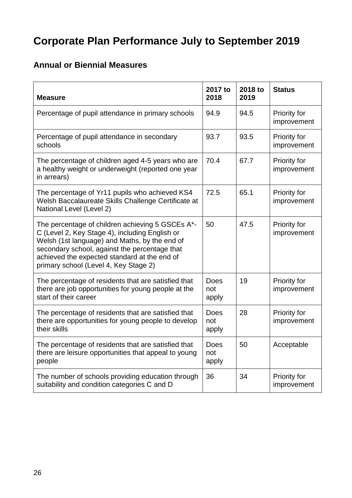### **Annual or Biennial Measures**

| <b>Measure</b>                                                                                                                                                                                                                                                                                | 2017 to<br>2018             | 2018 to<br>2019 | <b>Status</b>                      |
|-----------------------------------------------------------------------------------------------------------------------------------------------------------------------------------------------------------------------------------------------------------------------------------------------|-----------------------------|-----------------|------------------------------------|
| Percentage of pupil attendance in primary schools                                                                                                                                                                                                                                             | 94.9                        | 94.5            | Priority for<br>improvement        |
| Percentage of pupil attendance in secondary<br>schools                                                                                                                                                                                                                                        | 93.7                        | 93.5            | <b>Priority for</b><br>improvement |
| The percentage of children aged 4-5 years who are<br>a healthy weight or underweight (reported one year<br>in arrears)                                                                                                                                                                        | 70.4                        | 67.7            | Priority for<br>improvement        |
| The percentage of Yr11 pupils who achieved KS4<br>Welsh Baccalaureate Skills Challenge Certificate at<br>National Level (Level 2)                                                                                                                                                             | 72.5                        | 65.1            | <b>Priority for</b><br>improvement |
| The percentage of children achieving 5 GSCEs A*-<br>C (Level 2, Key Stage 4), including English or<br>Welsh (1st language) and Maths, by the end of<br>secondary school, against the percentage that<br>achieved the expected standard at the end of<br>primary school (Level 4, Key Stage 2) | 50                          | 47.5            | Priority for<br>improvement        |
| The percentage of residents that are satisfied that<br>there are job opportunities for young people at the<br>start of their career                                                                                                                                                           | <b>Does</b><br>not<br>apply | 19              | Priority for<br>improvement        |
| The percentage of residents that are satisfied that<br>there are opportunities for young people to develop<br>their skills                                                                                                                                                                    | <b>Does</b><br>not<br>apply | 28              | Priority for<br>improvement        |
| The percentage of residents that are satisfied that<br>there are leisure opportunities that appeal to young<br>people                                                                                                                                                                         | Does<br>not<br>apply        | 50              | Acceptable                         |
| The number of schools providing education through<br>suitability and condition categories C and D                                                                                                                                                                                             | 36                          | 34              | <b>Priority for</b><br>improvement |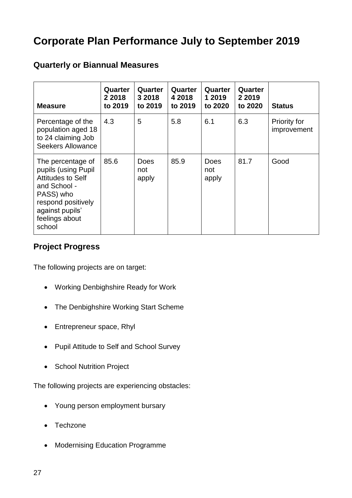| <b>Measure</b>                                                                                                                                                  | Quarter<br>2 2 0 1 8<br>to 2019 | Quarter<br>3 2018<br>to 2019 | Quarter<br>4 2018<br>to 2019 | Quarter<br>1 2019<br>to 2020 | Quarter<br>2 2 0 1 9<br>to 2020 | <b>Status</b>                      |
|-----------------------------------------------------------------------------------------------------------------------------------------------------------------|---------------------------------|------------------------------|------------------------------|------------------------------|---------------------------------|------------------------------------|
| Percentage of the<br>population aged 18<br>to 24 claiming Job<br><b>Seekers Allowance</b>                                                                       | 4.3                             | 5                            | 5.8                          | 6.1                          | 6.3                             | <b>Priority for</b><br>improvement |
| The percentage of<br>pupils (using Pupil<br>Attitudes to Self<br>and School -<br>PASS) who<br>respond positively<br>against pupils'<br>feelings about<br>school | 85.6                            | <b>Does</b><br>not<br>apply  | 85.9                         | Does<br>not<br>apply         | 81.7                            | Good                               |

#### **Quarterly or Biannual Measures**

#### **Project Progress**

The following projects are on target:

- Working Denbighshire Ready for Work
- The Denbighshire Working Start Scheme
- Entrepreneur space, Rhyl
- Pupil Attitude to Self and School Survey
- School Nutrition Project

The following projects are experiencing obstacles:

- Young person employment bursary
- Techzone
- Modernising Education Programme